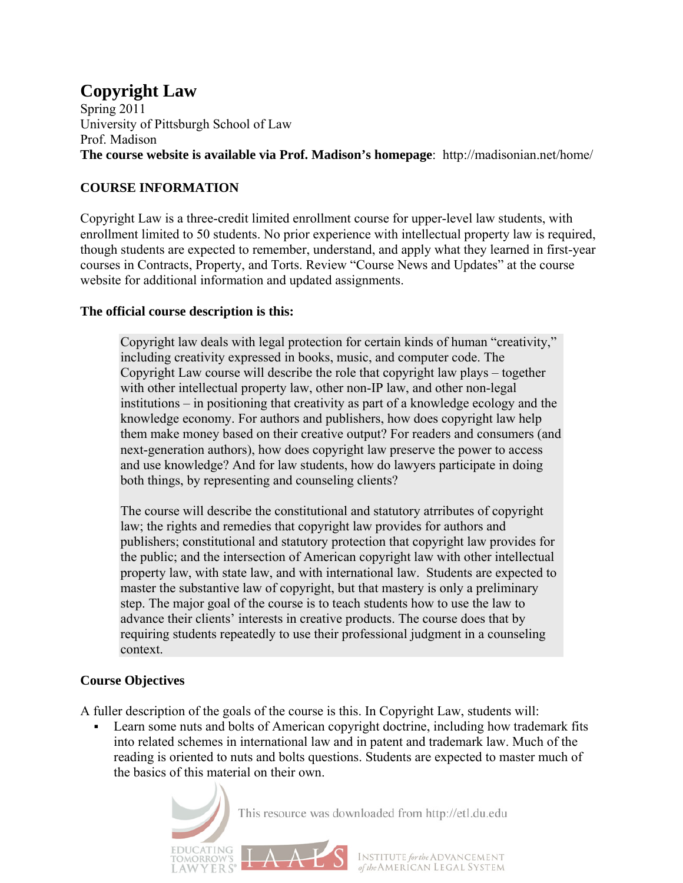# **Copyright Law**

Spring 2011 University of Pittsburgh School of Law Prof. Madison **The course website is available via Prof. Madison's homepage**: http://madisonian.net/home/

## **COURSE INFORMATION**

Copyright Law is a three-credit limited enrollment course for upper-level law students, with enrollment limited to 50 students. No prior experience with intellectual property law is required, though students are expected to remember, understand, and apply what they learned in first-year courses in Contracts, Property, and Torts. Review "Course News and Updates" at the course website for additional information and updated assignments.

#### **The official course description is this:**

Copyright law deals with legal protection for certain kinds of human "creativity," including creativity expressed in books, music, and computer code. The Copyright Law course will describe the role that copyright law plays – together with other intellectual property law, other non-IP law, and other non-legal institutions – in positioning that creativity as part of a knowledge ecology and the knowledge economy. For authors and publishers, how does copyright law help them make money based on their creative output? For readers and consumers (and next-generation authors), how does copyright law preserve the power to access and use knowledge? And for law students, how do lawyers participate in doing both things, by representing and counseling clients?

The course will describe the constitutional and statutory atrributes of copyright law; the rights and remedies that copyright law provides for authors and publishers; constitutional and statutory protection that copyright law provides for the public; and the intersection of American copyright law with other intellectual property law, with state law, and with international law. Students are expected to master the substantive law of copyright, but that mastery is only a preliminary step. The major goal of the course is to teach students how to use the law to advance their clients' interests in creative products. The course does that by requiring students repeatedly to use their professional judgment in a counseling context.

# **Course Objectives**

A fuller description of the goals of the course is this. In Copyright Law, students will:

 Learn some nuts and bolts of American copyright doctrine, including how trademark fits into related schemes in international law and in patent and trademark law. Much of the reading is oriented to nuts and bolts questions. Students are expected to master much of the basics of this material on their own.

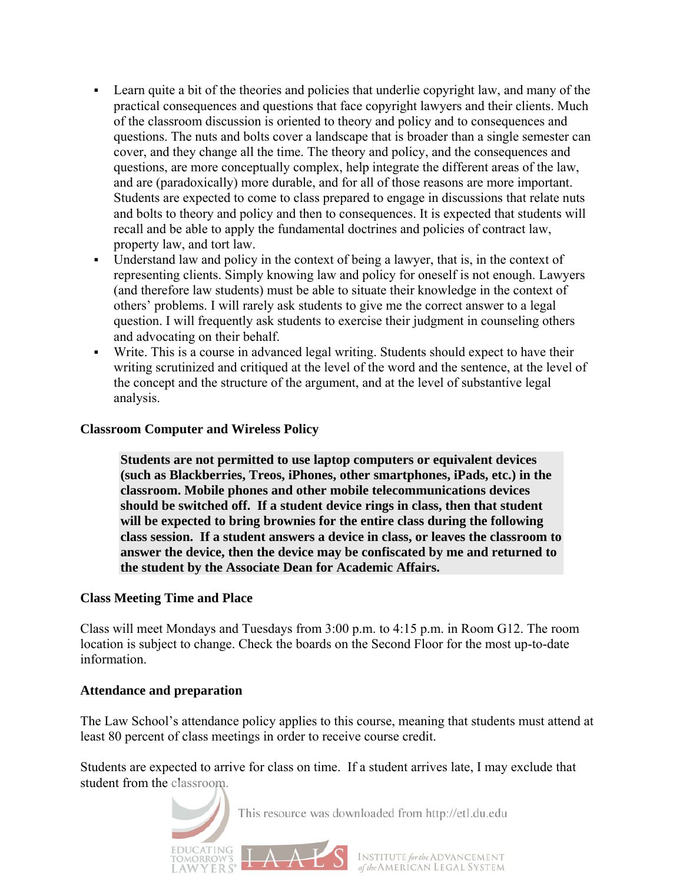- Learn quite a bit of the theories and policies that underlie copyright law, and many of the practical consequences and questions that face copyright lawyers and their clients. Much of the classroom discussion is oriented to theory and policy and to consequences and questions. The nuts and bolts cover a landscape that is broader than a single semester can cover, and they change all the time. The theory and policy, and the consequences and questions, are more conceptually complex, help integrate the different areas of the law, and are (paradoxically) more durable, and for all of those reasons are more important. Students are expected to come to class prepared to engage in discussions that relate nuts and bolts to theory and policy and then to consequences. It is expected that students will recall and be able to apply the fundamental doctrines and policies of contract law, property law, and tort law.
- Understand law and policy in the context of being a lawyer, that is, in the context of representing clients. Simply knowing law and policy for oneself is not enough. Lawyers (and therefore law students) must be able to situate their knowledge in the context of others' problems. I will rarely ask students to give me the correct answer to a legal question. I will frequently ask students to exercise their judgment in counseling others and advocating on their behalf.
- Write. This is a course in advanced legal writing. Students should expect to have their writing scrutinized and critiqued at the level of the word and the sentence, at the level of the concept and the structure of the argument, and at the level of substantive legal analysis.

#### **Classroom Computer and Wireless Policy**

**Students are not permitted to use laptop computers or equivalent devices (such as Blackberries, Treos, iPhones, other smartphones, iPads, etc.) in the classroom. Mobile phones and other mobile telecommunications devices should be switched off. If a student device rings in class, then that student will be expected to bring brownies for the entire class during the following class session. If a student answers a device in class, or leaves the classroom to answer the device, then the device may be confiscated by me and returned to the student by the Associate Dean for Academic Affairs.**

#### **Class Meeting Time and Place**

Class will meet Mondays and Tuesdays from 3:00 p.m. to 4:15 p.m. in Room G12. The room location is subject to change. Check the boards on the Second Floor for the most up-to-date information.

#### **Attendance and preparation**

EDUCATING

The Law School's attendance policy applies to this course, meaning that students must attend at least 80 percent of class meetings in order to receive course credit.

Students are expected to arrive for class on time. If a student arrives late, I may exclude that student from the classroom.

This resource was downloaded from http://etl.du.edu

INSTITUTE for the ADVANCEMENT<br>of the AMERICAN LEGAL SYSTEM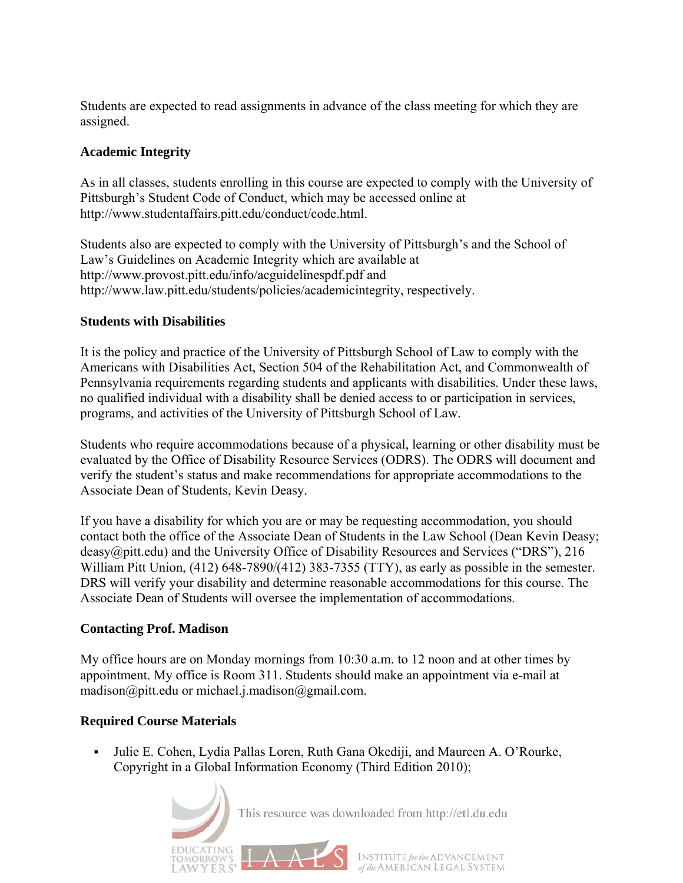Students are expected to read assignments in advance of the class meeting for which they are assigned.

#### **Academic Integrity**

As in all classes, students enrolling in this course are expected to comply with the University of Pittsburgh's Student Code of Conduct, which may be accessed online at [http://www.studentaffairs.pitt.edu/conduct/code.html.](http://www.studentaffairs.pitt.edu/conduct/code.html)

Students also are expected to comply with the University of Pittsburgh's and the School of Law's Guidelines on Academic Integrity which are available at <http://www.provost.pitt.edu/info/acguidelinespdf.pdf>and [http://www.law.pitt.edu/students/policies/academicintegrity,](http://www.law.pitt.edu/students/policies/academicintegrity) respectively.

#### **Students with Disabilities**

It is the policy and practice of the University of Pittsburgh School of Law to comply with the Americans with Disabilities Act, Section 504 of the Rehabilitation Act, and Commonwealth of Pennsylvania requirements regarding students and applicants with disabilities. Under these laws, no qualified individual with a disability shall be denied access to or participation in services, programs, and activities of the University of Pittsburgh School of Law.

Students who require accommodations because of a physical, learning or other disability must be evaluated by the Office of Disability Resource Services (ODRS). The ODRS will document and verify the student's status and make recommendations for appropriate accommodations to the Associate Dean of Students, Kevin Deasy.

If you have a disability for which you are or may be requesting accommodation, you should contact both the office of the Associate Dean of Students in the Law School (Dean Kevin Deasy; deasy@pitt.edu) and the University Office of Disability Resources and Services ("DRS"), 216 William Pitt Union, (412) 648-7890/(412) 383-7355 (TTY), as early as possible in the semester. DRS will verify your disability and determine reasonable accommodations for this course. The Associate Dean of Students will oversee the implementation of accommodations.

#### **Contacting Prof. Madison**

My office hours are on Monday mornings from 10:30 a.m. to 12 noon and at other times by appointment. My office is Room 311. Students should make an appointment via e-mail at madison@pitt.edu or [michael.j.madison@gmail.com.](mailto:michael.j.madison@gmail.com)

#### **Required Course Materials**

 [Julie E. Cohen, Lydia Pallas Loren, Ruth Gana Okediji, and Maureen A. O'Rourke,](http://www.aspenpublishers.com/Product.asp?catalog_name=Aspen&product_id=0735591962)  [Copyright in a Global Information Economy \(Third Edition 2010\);](http://www.aspenpublishers.com/Product.asp?catalog_name=Aspen&product_id=0735591962) 

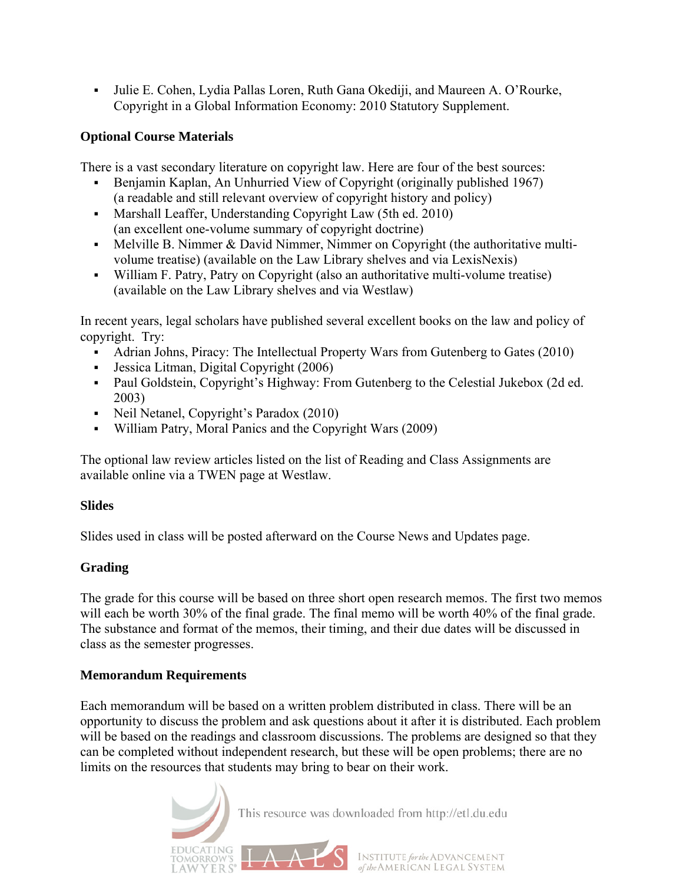[Julie E. Cohen, Lydia Pallas Loren, Ruth Gana Okediji, and Maureen A. O'Rourke,](http://www.aspenpublishers.com/Product.asp?catalog_name=Aspen&product_id=0735590532)  [Copyright in a Global Information Economy: 2010 Statutory Supplement.](http://www.aspenpublishers.com/Product.asp?catalog_name=Aspen&product_id=0735590532) 

#### **Optional Course Materials**

There is a vast secondary literature on copyright law. Here are four of the best sources:

- Benjamin Kaplan, An Unhurried View of Copyright (originally published 1967) (a readable and still relevant overview of copyright history and policy)
- [Marshall Leaffer, Understanding Copyright Law \(5th ed. 2010\)](http://www.amazon.com/Understanding-Copyright-Law-Marshall-Leaffer/dp/B0040UUFXS/ref=sr_1_21?ie=UTF8&qid=1293552374&sr=8-21)  (an excellent one-volume summary of copyright doctrine)
- Melville B. Nimmer  $& David$  Nimmer, Nimmer on Copyright (the authoritative multivolume treatise) (available on the Law Library shelves and via LexisNexis)
- William F. Patry, Patry on Copyright (also an authoritative multi-volume treatise) (available on the Law Library shelves and via Westlaw)

In recent years, legal scholars have published several excellent books on the law and policy of copyright. Try:

- [Adrian Johns, Piracy: The Intellectual Property Wars from Gutenberg to Gates \(2010\)](http://www.amazon.com/Piracy-Intellectual-Property-Gutenberg-Gates/dp/0226401189/ref=sr_1_42?ie=UTF8&qid=1293552402&sr=8-42)
- [Jessica Litman, Digital Copyright \(2006\)](http://www.amazon.com/Digital-Copyright-Jessica-Litman/dp/159102420X/ref=sr_1_9?ie=UTF8&qid=1293552236&sr=8-9)
- [Paul Goldstein, Copyright's Highway: From Gutenberg to the Celestial Jukebox \(2d ed.](http://www.amazon.com/Copyrights-Highway-Gutenberg-Celestial-Jukebox/dp/0804747482/ref=sr_1_1?s=books&ie=UTF8&qid=1293552500&sr=1-1)  [2003\)](http://www.amazon.com/Copyrights-Highway-Gutenberg-Celestial-Jukebox/dp/0804747482/ref=sr_1_1?s=books&ie=UTF8&qid=1293552500&sr=1-1)
- Neil Netanel, Copyright's Paradox (2010)
- [William Patry, Moral Panics and the Copyright Wars \(2009\)](http://www.amazon.com/Moral-Panics-Copyright-Wars-0/dp/0195385640/ref=sr_1_8?ie=UTF8&qid=1293552236&sr=8-8)

The optional law review articles listed on the list of Reading and Class Assignments are available online via a TWEN page at Westlaw.

#### **Slides**

Slides used in class will be posted afterward on the [Course News and Updates](http://madisonian.net/home/?page_id=41) page.

## **Grading**

The grade for this course will be based on three short open research memos. The first two memos will each be worth 30% of the final grade. The final memo will be worth 40% of the final grade. The substance and format of the memos, their timing, and their due dates will be discussed in class as the semester progresses.

## **Memorandum Requirements**

Each memorandum will be based on a written problem distributed in class. There will be an opportunity to discuss the problem and ask questions about it after it is distributed. Each problem will be based on the readings and classroom discussions. The problems are designed so that they can be completed without independent research, but these will be open problems; there are no limits on the resources that students may bring to bear on their work.

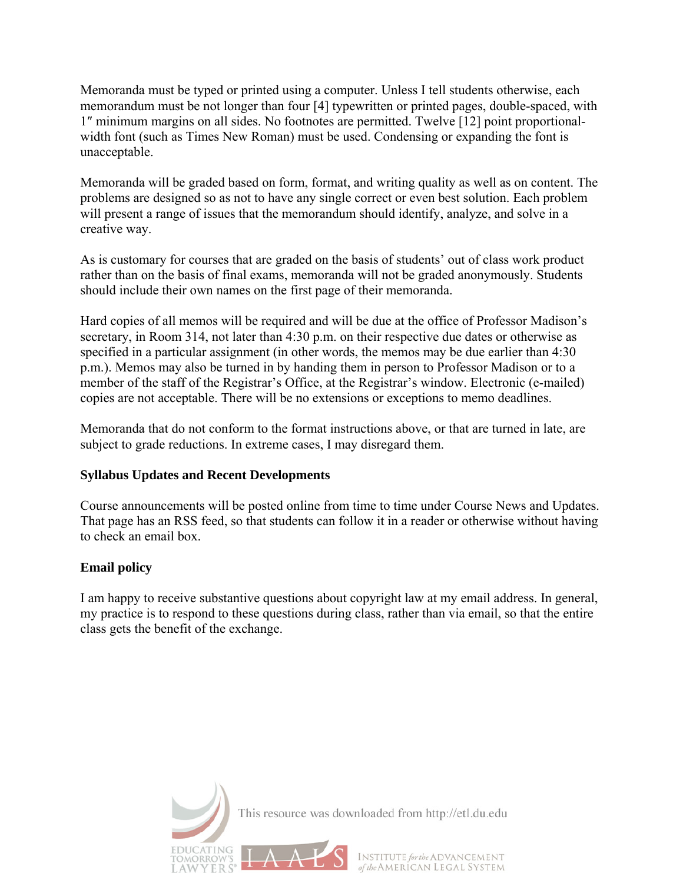Memoranda must be typed or printed using a computer. Unless I tell students otherwise, each memorandum must be not longer than four [4] typewritten or printed pages, double-spaced, with 1″ minimum margins on all sides. No footnotes are permitted. Twelve [12] point proportionalwidth font (such as Times New Roman) must be used. Condensing or expanding the font is unacceptable.

Memoranda will be graded based on form, format, and writing quality as well as on content. The problems are designed so as not to have any single correct or even best solution. Each problem will present a range of issues that the memorandum should identify, analyze, and solve in a creative way.

As is customary for courses that are graded on the basis of students' out of class work product rather than on the basis of final exams, memoranda will not be graded anonymously. Students should include their own names on the first page of their memoranda.

Hard copies of all memos will be required and will be due at the office of Professor Madison's secretary, in Room 314, not later than 4:30 p.m. on their respective due dates or otherwise as specified in a particular assignment (in other words, the memos may be due earlier than 4:30 p.m.). Memos may also be turned in by handing them in person to Professor Madison or to a member of the staff of the Registrar's Office, at the Registrar's window. Electronic (e-mailed) copies are not acceptable. There will be no extensions or exceptions to memo deadlines.

Memoranda that do not conform to the format instructions above, or that are turned in late, are subject to grade reductions. In extreme cases, I may disregard them.

#### **Syllabus Updates and Recent Developments**

Course announcements will be posted online from time to time under [Course News and Updates.](http://madisonian.net/home/?page_id=41) That page has an RSS feed, so that students can follow it in a reader or otherwise without having to check an email box.

#### **Email policy**

I am happy to receive substantive questions about copyright law at my email address. In general, my practice is to respond to these questions during class, rather than via email, so that the entire class gets the benefit of the exchange.

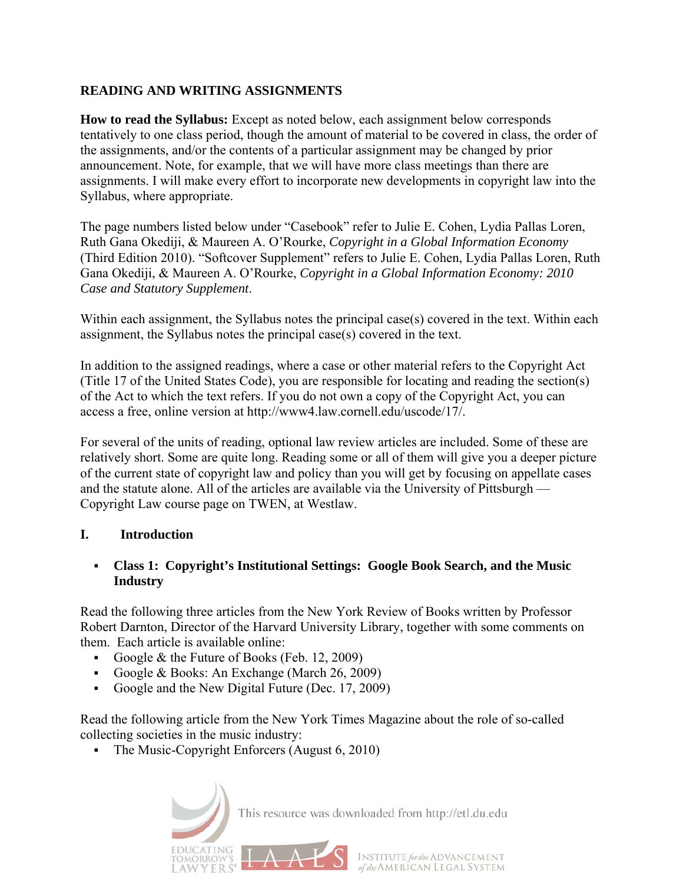#### **READING AND WRITING ASSIGNMENTS**

**How to read the Syllabus:** Except as noted below, each assignment below corresponds tentatively to one class period, though the amount of material to be covered in class, the order of the assignments, and/or the contents of a particular assignment may be changed by prior announcement. Note, for example, that we will have more class meetings than there are assignments. I will make every effort to incorporate new developments in copyright law into the Syllabus, where appropriate.

The page numbers listed below under "Casebook" refer to Julie E. Cohen, Lydia Pallas Loren, Ruth Gana Okediji, & Maureen A. O'Rourke, *Copyright in a Global Information Economy*  (Third Edition 2010). "Softcover Supplement" refers to Julie E. Cohen, Lydia Pallas Loren, Ruth Gana Okediji, & Maureen A. O'Rourke, *Copyright in a Global Information Economy: 2010 Case and Statutory Supplement*.

Within each assignment, the Syllabus notes the principal case(s) covered in the text. Within each assignment, the Syllabus notes the principal case(s) covered in the text.

In addition to the assigned readings, where a case or other material refers to the Copyright Act (Title 17 of the United States Code), you are responsible for locating and reading the section(s) of the Act to which the text refers. If you do not own a copy of the Copyright Act, you can access a free, online version at [http://www4.law.cornell.edu/uscode/17/.](http://www4.law.cornell.edu/uscode/17/)

For several of the units of reading, optional law review articles are included. Some of these are relatively short. Some are quite long. Reading some or all of them will give you a deeper picture of the current state of copyright law and policy than you will get by focusing on appellate cases and the statute alone. All of the articles are available via the University of Pittsburgh — Copyright Law course page on [TWEN, at Westlaw.](http://www.lawschool.westlaw.com/twen) 

#### **I. Introduction**

#### **Class 1: Copyright's Institutional Settings: Google Book Search, and the Music Industry**

Read the following three articles from the New York Review of Books written by Professor Robert Darnton, Director of the Harvard University Library, together with some comments on them. Each article is available online:

- Google  $&$  the Future of Books (Feb. 12, 2009)
- [Google & Books: An Exchange](http://www.nybooks.com/articles/22496) (March 26, 2009)
- [Google and the New Digital Future](http://www.nybooks.com/articles/23518) (Dec. 17, 2009)

Read the following article from the New York Times Magazine about the role of so-called collecting societies in the music industry:

• [The Music-Copyright Enforcers](http://www.nytimes.com/2010/08/08/magazine/08music-t.html) (August 6, 2010)

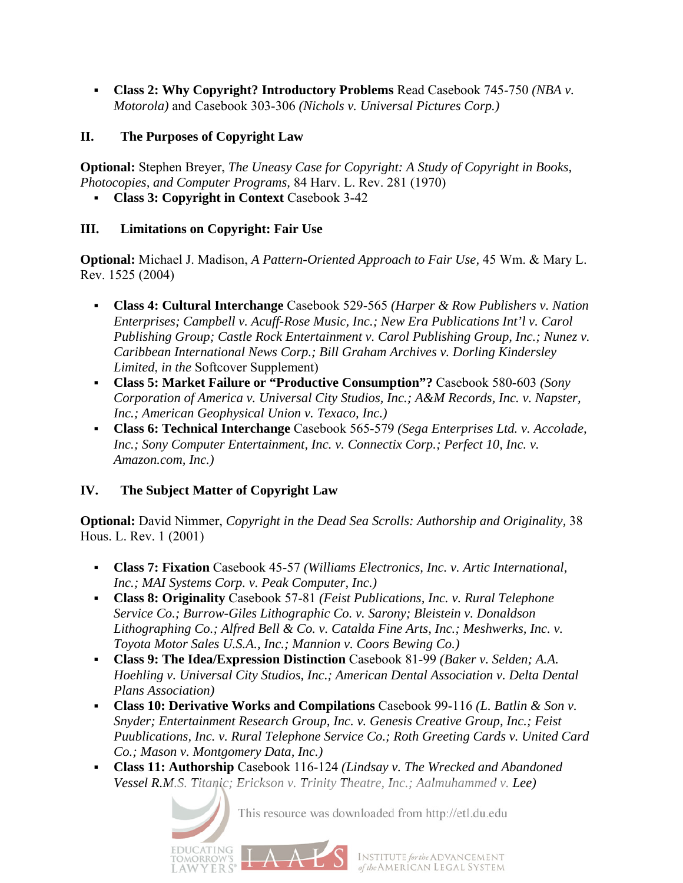**Class 2: Why Copyright? Introductory Problems** Read Casebook 745-750 *(NBA v. Motorola)* and Casebook 303-306 *(Nichols v. Universal Pictures Corp.)*

## **II. The Purposes of Copyright Law**

**Optional:** Stephen Breyer, *The Uneasy Case for Copyright: A Study of Copyright in Books, Photocopies, and Computer Programs,* 84 Harv. L. Rev. 281 (1970)

**Class 3: Copyright in Context** Casebook 3-42

## **III. Limitations on Copyright: Fair Use**

**Optional:** Michael J. Madison, *A Pattern-Oriented Approach to Fair Use,* 45 Wm. & Mary L. Rev. 1525 (2004)

- **Class 4: Cultural Interchange** Casebook 529-565 *(Harper & Row Publishers v. Nation Enterprises; Campbell v. Acuff-Rose Music, Inc.; New Era Publications Int'l v. Carol Publishing Group; Castle Rock Entertainment v. Carol Publishing Group, Inc.; Nunez v. Caribbean International News Corp.; Bill Graham Archives v. Dorling Kindersley Limited*, *in the* Softcover Supplement)
- **Class 5: Market Failure or "Productive Consumption"?** Casebook 580-603 *(Sony Corporation of America v. Universal City Studios, Inc.; A&M Records, Inc. v. Napster, Inc.; American Geophysical Union v. Texaco, Inc.)*
- **Class 6: Technical Interchange** Casebook 565-579 *(Sega Enterprises Ltd. v. Accolade, Inc.; Sony Computer Entertainment, Inc. v. Connectix Corp.; Perfect 10, Inc. v. Amazon.com, Inc.)*

## **IV. The Subject Matter of Copyright Law**

**ATING** 

**Optional:** David Nimmer, *Copyright in the Dead Sea Scrolls: Authorship and Originality,* 38 Hous. L. Rev. 1 (2001)

- **Class 7: Fixation** Casebook 45-57 *(Williams Electronics, Inc. v. Artic International, Inc.; MAI Systems Corp. v. Peak Computer, Inc.)*
- **Class 8: Originality** Casebook 57-81 *(Feist Publications, Inc. v. Rural Telephone Service Co.; Burrow-Giles Lithographic Co. v. Sarony; Bleistein v. Donaldson Lithographing Co.; Alfred Bell & Co. v. Catalda Fine Arts, Inc.; Meshwerks, Inc. v. Toyota Motor Sales U.S.A., Inc.; Mannion v. Coors Bewing Co.)*
- **Class 9: The Idea/Expression Distinction** Casebook 81-99 *(Baker v. Selden; A.A. Hoehling v. Universal City Studios, Inc.; American Dental Association v. Delta Dental Plans Association)*
- **Class 10: Derivative Works and Compilations** Casebook 99-116 *(L. Batlin & Son v. Snyder; Entertainment Research Group, Inc. v. Genesis Creative Group, Inc.; Feist Puublications, Inc. v. Rural Telephone Service Co.; Roth Greeting Cards v. United Card Co.; Mason v. Montgomery Data, Inc.)*
- **Class 11: Authorship** Casebook 116-124 *(Lindsay v. The Wrecked and Abandoned Vessel R.M.S. Titanic; Erickson v. Trinity Theatre, Inc.; Aalmuhammed v. Lee)*

This resource was downloaded from http://etl.du.edu

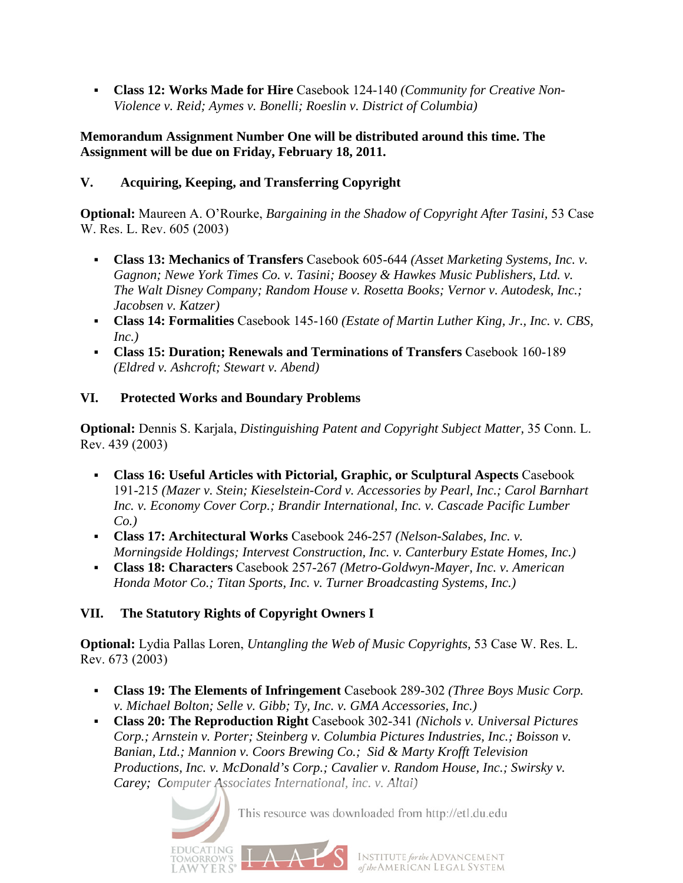**Class 12: Works Made for Hire** Casebook 124-140 *(Community for Creative Non-Violence v. Reid; Aymes v. Bonelli; Roeslin v. District of Columbia)*

#### **Memorandum Assignment Number One will be distributed around this time. The Assignment will be due on Friday, February 18, 2011.**

## **V. Acquiring, Keeping, and Transferring Copyright**

**Optional:** Maureen A. O'Rourke, *Bargaining in the Shadow of Copyright After Tasini,* 53 Case W. Res. L. Rev. 605 (2003)

- **Class 13: Mechanics of Transfers** Casebook 605-644 *(Asset Marketing Systems, Inc. v. Gagnon; Newe York Times Co. v. Tasini; Boosey & Hawkes Music Publishers, Ltd. v. The Walt Disney Company; Random House v. Rosetta Books; Vernor v. Autodesk, Inc.; Jacobsen v. Katzer)*
- **Class 14: Formalities** Casebook 145-160 *(Estate of Martin Luther King, Jr., Inc. v. CBS, Inc.)*
- **Class 15: Duration; Renewals and Terminations of Transfers** Casebook 160-189 *(Eldred v. Ashcroft; Stewart v. Abend)*

## **VI. Protected Works and Boundary Problems**

**Optional:** Dennis S. Karjala, *Distinguishing Patent and Copyright Subject Matter,* 35 Conn. L. Rev. 439 (2003)

- **Class 16: Useful Articles with Pictorial, Graphic, or Sculptural Aspects** Casebook 191-215 *(Mazer v. Stein; Kieselstein-Cord v. Accessories by Pearl, Inc.; Carol Barnhart Inc. v. Economy Cover Corp.; Brandir International, Inc. v. Cascade Pacific Lumber Co.)*
- **Class 17: Architectural Works** Casebook 246-257 *(Nelson-Salabes, Inc. v. Morningside Holdings; Intervest Construction, Inc. v. Canterbury Estate Homes, Inc.)*
- **Class 18: Characters** Casebook 257-267 *(Metro-Goldwyn-Mayer, Inc. v. American Honda Motor Co.; Titan Sports, Inc. v. Turner Broadcasting Systems, Inc.)*

# **VII. The Statutory Rights of Copyright Owners I**

**ATING** 

**Optional:** Lydia Pallas Loren, *Untangling the Web of Music Copyrights,* 53 Case W. Res. L. Rev. 673 (2003)

- **Class 19: The Elements of Infringement** Casebook 289-302 *(Three Boys Music Corp. v. Michael Bolton; Selle v. Gibb; Ty, Inc. v. GMA Accessories, Inc.)*
- **Class 20: The Reproduction Right** Casebook 302-341 *(Nichols v. Universal Pictures Corp.; Arnstein v. Porter; Steinberg v. Columbia Pictures Industries, Inc.; Boisson v. Banian, Ltd.; Mannion v. Coors Brewing Co.; Sid & Marty Krofft Television Productions, Inc. v. McDonald's Corp.; Cavalier v. Random House, Inc.; Swirsky v. Carey; Computer Associates International, inc. v. Altai)*

This resource was downloaded from http://etl.du.edu